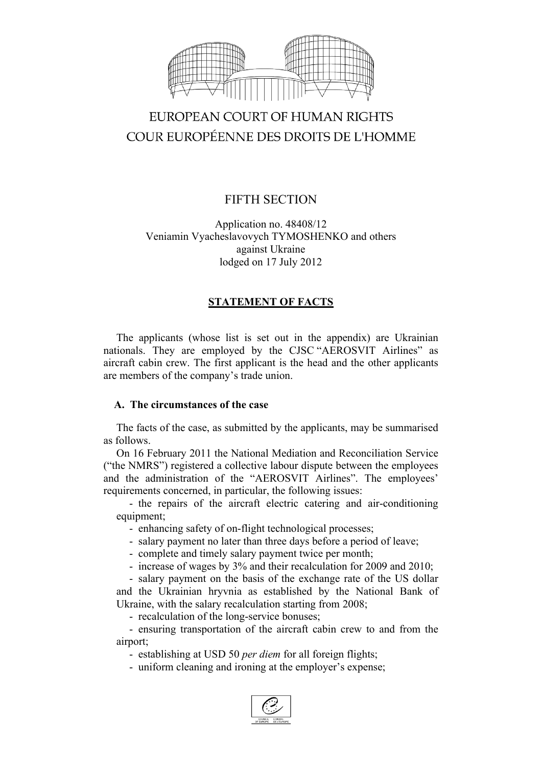

# EUROPEAN COURT OF HUMAN RIGHTS COUR EUROPÉENNE DES DROITS DE L'HOMME

# FIFTH SECTION

# Application no. 48408/12 Veniamin Vyacheslavovych TYMOSHENKO and others against Ukraine lodged on 17 July 2012

# **STATEMENT OF FACTS**

The applicants (whose list is set out in the appendix) are Ukrainian nationals. They are employed by the CJSC "AEROSVIT Airlines" as aircraft cabin crew. The first applicant is the head and the other applicants are members of the company's trade union.

# **A. The circumstances of the case**

The facts of the case, as submitted by the applicants, may be summarised as follows.

On 16 February 2011 the National Mediation and Reconciliation Service ("the NMRS") registered a collective labour dispute between the employees and the administration of the "AEROSVIT Airlines". The employees' requirements concerned, in particular, the following issues:

- the repairs of the aircraft electric catering and air-conditioning equipment;

- enhancing safety of on-flight technological processes;

- salary payment no later than three days before a period of leave;

- complete and timely salary payment twice per month;

- increase of wages by 3% and their recalculation for 2009 and 2010;

- salary payment on the basis of the exchange rate of the US dollar and the Ukrainian hryvnia as established by the National Bank of Ukraine, with the salary recalculation starting from 2008;

- recalculation of the long-service bonuses;

- ensuring transportation of the aircraft cabin crew to and from the airport;

- establishing at USD 50 *per diem* for all foreign flights;

- uniform cleaning and ironing at the employer's expense;

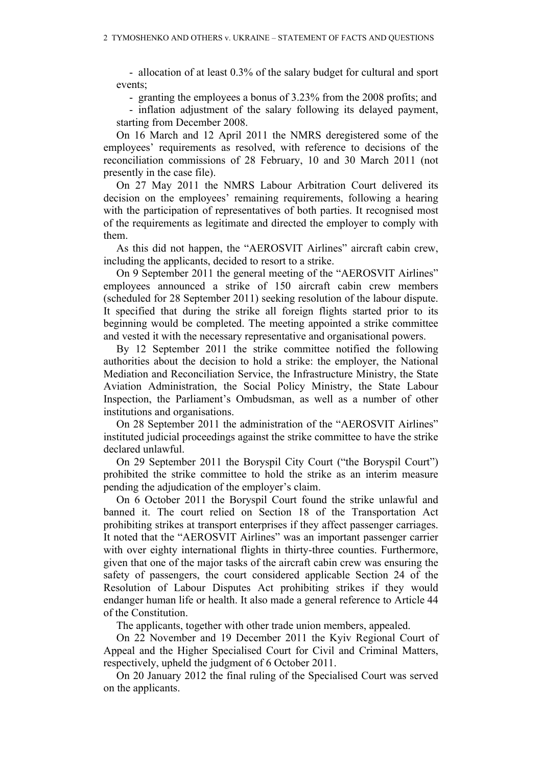- allocation of at least 0.3% of the salary budget for cultural and sport events;

- granting the employees a bonus of 3.23% from the 2008 profits; and

- inflation adjustment of the salary following its delayed payment, starting from December 2008.

On 16 March and 12 April 2011 the NMRS deregistered some of the employees' requirements as resolved, with reference to decisions of the reconciliation commissions of 28 February, 10 and 30 March 2011 (not presently in the case file).

On 27 May 2011 the NMRS Labour Arbitration Court delivered its decision on the employees' remaining requirements, following a hearing with the participation of representatives of both parties. It recognised most of the requirements as legitimate and directed the employer to comply with them.

As this did not happen, the "AEROSVIT Airlines" aircraft cabin crew, including the applicants, decided to resort to a strike.

On 9 September 2011 the general meeting of the "AEROSVIT Airlines" employees announced a strike of 150 aircraft cabin crew members (scheduled for 28 September 2011) seeking resolution of the labour dispute. It specified that during the strike all foreign flights started prior to its beginning would be completed. The meeting appointed a strike committee and vested it with the necessary representative and organisational powers.

By 12 September 2011 the strike committee notified the following authorities about the decision to hold a strike: the employer, the National Mediation and Reconciliation Service, the Infrastructure Ministry, the State Aviation Administration, the Social Policy Ministry, the State Labour Inspection, the Parliament's Ombudsman, as well as a number of other institutions and organisations.

On 28 September 2011 the administration of the "AEROSVIT Airlines" instituted judicial proceedings against the strike committee to have the strike declared unlawful.

On 29 September 2011 the Boryspil City Court ("the Boryspil Court") prohibited the strike committee to hold the strike as an interim measure pending the adjudication of the employer's claim.

On 6 October 2011 the Boryspil Court found the strike unlawful and banned it. The court relied on Section 18 of the Transportation Act prohibiting strikes at transport enterprises if they affect passenger carriages. It noted that the "AEROSVIT Airlines" was an important passenger carrier with over eighty international flights in thirty-three counties. Furthermore, given that one of the major tasks of the aircraft cabin crew was ensuring the safety of passengers, the court considered applicable Section 24 of the Resolution of Labour Disputes Act prohibiting strikes if they would endanger human life or health. It also made a general reference to Article 44 of the Constitution.

The applicants, together with other trade union members, appealed.

On 22 November and 19 December 2011 the Kyiv Regional Court of Appeal and the Higher Specialised Court for Civil and Criminal Matters, respectively, upheld the judgment of 6 October 2011.

On 20 January 2012 the final ruling of the Specialised Court was served on the applicants.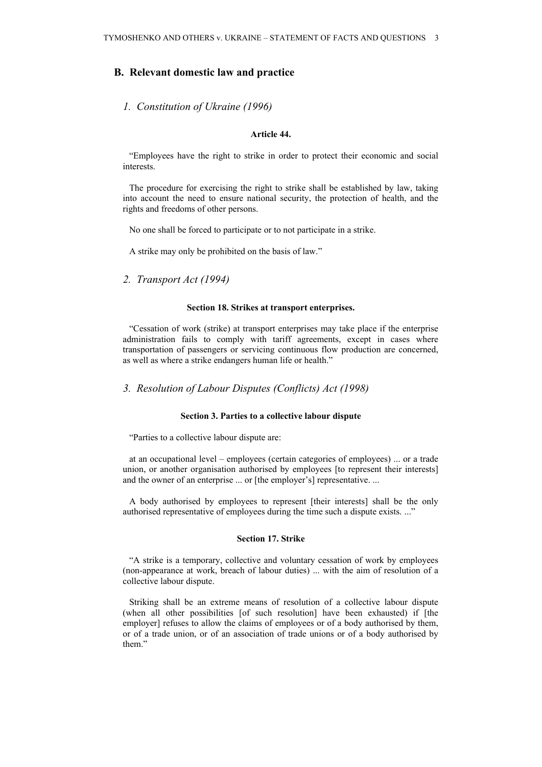### **B. Relevant domestic law and practice**

#### *1. Constitution of Ukraine (1996)*

### **Article 44.**

"Employees have the right to strike in order to protect their economic and social interests.

The procedure for exercising the right to strike shall be established by law, taking into account the need to ensure national security, the protection of health, and the rights and freedoms of other persons.

No one shall be forced to participate or to not participate in a strike.

A strike may only be prohibited on the basis of law."

*2. Transport Act (1994)*

#### **Section 18. Strikes at transport enterprises.**

"Cessation of work (strike) at transport enterprises may take place if the enterprise administration fails to comply with tariff agreements, except in cases where transportation of passengers or servicing continuous flow production are concerned, as well as where a strike endangers human life or health."

*3. Resolution of Labour Disputes (Conflicts) Act (1998)*

#### **Section 3. Parties to a collective labour dispute**

"Parties to a collective labour dispute are:

at an occupational level – employees (certain categories of employees) ... or a trade union, or another organisation authorised by employees [to represent their interests] and the owner of an enterprise ... or [the employer's] representative. ...

A body authorised by employees to represent [their interests] shall be the only authorised representative of employees during the time such a dispute exists. ..."

#### **Section 17. Strike**

"A strike is a temporary, collective and voluntary cessation of work by employees (non-appearance at work, breach of labour duties) ... with the aim of resolution of a collective labour dispute.

Striking shall be an extreme means of resolution of a collective labour dispute (when all other possibilities [of such resolution] have been exhausted) if [the employer] refuses to allow the claims of employees or of a body authorised by them, or of a trade union, or of an association of trade unions or of a body authorised by them."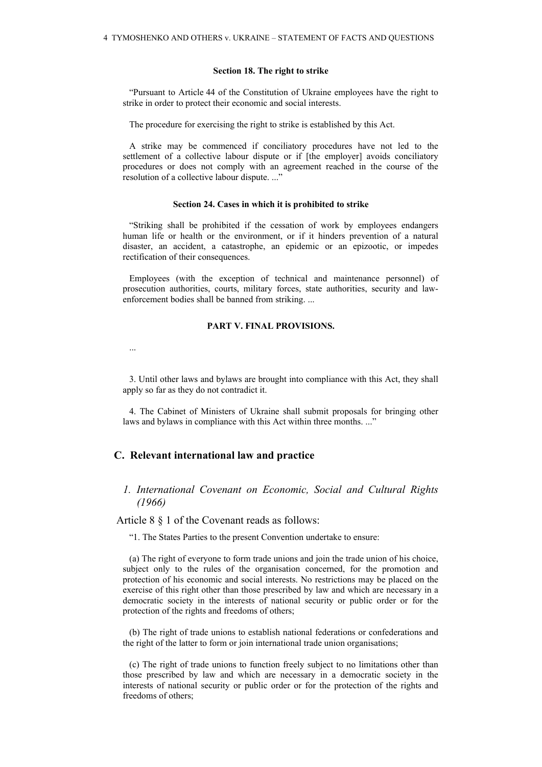#### **Section 18. The right to strike**

"Pursuant to Article 44 of the Constitution of Ukraine employees have the right to strike in order to protect their economic and social interests.

The procedure for exercising the right to strike is established by this Act.

A strike may be commenced if conciliatory procedures have not led to the settlement of a collective labour dispute or if [the employer] avoids conciliatory procedures or does not comply with an agreement reached in the course of the resolution of a collective labour dispute. ...'

#### **Section 24. Cases in which it is prohibited to strike**

"Striking shall be prohibited if the cessation of work by employees endangers human life or health or the environment, or if it hinders prevention of a natural disaster, an accident, a catastrophe, an epidemic or an epizootic, or impedes rectification of their consequences.

Employees (with the exception of technical and maintenance personnel) of prosecution authorities, courts, military forces, state authorities, security and lawenforcement bodies shall be banned from striking. ...

#### **PART V. FINAL PROVISIONS.**

...

3. Until other laws and bylaws are brought into compliance with this Act, they shall apply so far as they do not contradict it.

4. The Cabinet of Ministers of Ukraine shall submit proposals for bringing other laws and bylaws in compliance with this Act within three months. ..."

# **C. Relevant international law and practice**

### *1. International Covenant on Economic, Social and Cultural Rights (1966)*

Article 8 § 1 of the Covenant reads as follows:

"1. The States Parties to the present Convention undertake to ensure:

(a) The right of everyone to form trade unions and join the trade union of his choice, subject only to the rules of the organisation concerned, for the promotion and protection of his economic and social interests. No restrictions may be placed on the exercise of this right other than those prescribed by law and which are necessary in a democratic society in the interests of national security or public order or for the protection of the rights and freedoms of others;

(b) The right of trade unions to establish national federations or confederations and the right of the latter to form or join international trade union organisations;

(c) The right of trade unions to function freely subject to no limitations other than those prescribed by law and which are necessary in a democratic society in the interests of national security or public order or for the protection of the rights and freedoms of others;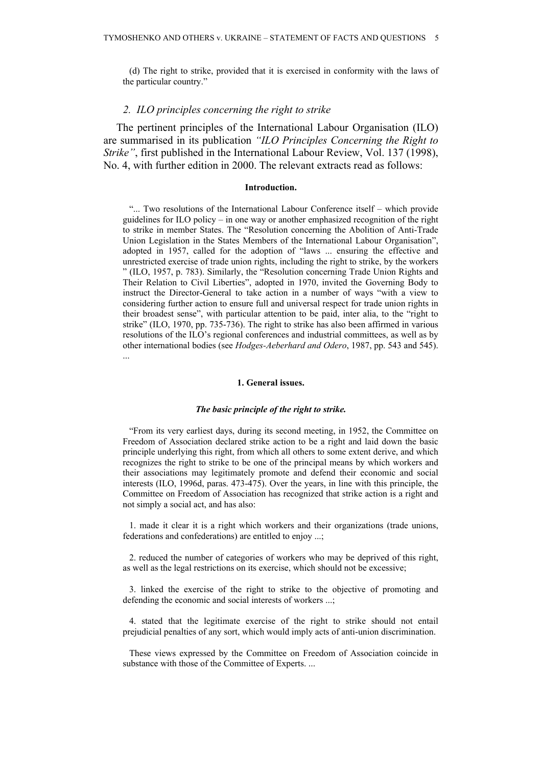(d) The right to strike, provided that it is exercised in conformity with the laws of the particular country."

### *2. ILO principles concerning the right to strike*

The pertinent principles of the International Labour Organisation (ILO) are summarised in its publication *"ILO Principles Concerning the Right to Strike"*, first published in the International Labour Review, Vol. 137 (1998), No. 4, with further edition in 2000. The relevant extracts read as follows:

#### **Introduction.**

"... Two resolutions of the International Labour Conference itself – which provide guidelines for ILO policy – in one way or another emphasized recognition of the right to strike in member States. The "Resolution concerning the Abolition of Anti-Trade Union Legislation in the States Members of the International Labour Organisation", adopted in 1957, called for the adoption of "laws ... ensuring the effective and unrestricted exercise of trade union rights, including the right to strike, by the workers " (ILO, 1957, p. 783). Similarly, the "Resolution concerning Trade Union Rights and Their Relation to Civil Liberties", adopted in 1970, invited the Governing Body to instruct the Director-General to take action in a number of ways "with a view to considering further action to ensure full and universal respect for trade union rights in their broadest sense", with particular attention to be paid, inter alia, to the "right to strike" (ILO, 1970, pp. 735-736). The right to strike has also been affirmed in various resolutions of the ILO's regional conferences and industrial committees, as well as by other international bodies (see *Hodges-Aeberhard and Odero*, 1987, pp. 543 and 545). ...

#### **1. General issues.**

#### *The basic principle of the right to strike.*

"From its very earliest days, during its second meeting, in 1952, the Committee on Freedom of Association declared strike action to be a right and laid down the basic principle underlying this right, from which all others to some extent derive, and which recognizes the right to strike to be one of the principal means by which workers and their associations may legitimately promote and defend their economic and social interests (ILO, 1996d, paras. 473-475). Over the years, in line with this principle, the Committee on Freedom of Association has recognized that strike action is a right and not simply a social act, and has also:

1. made it clear it is a right which workers and their organizations (trade unions, federations and confederations) are entitled to enjoy ...;

2. reduced the number of categories of workers who may be deprived of this right, as well as the legal restrictions on its exercise, which should not be excessive;

3. linked the exercise of the right to strike to the objective of promoting and defending the economic and social interests of workers ...;

4. stated that the legitimate exercise of the right to strike should not entail prejudicial penalties of any sort, which would imply acts of anti-union discrimination.

These views expressed by the Committee on Freedom of Association coincide in substance with those of the Committee of Experts. ...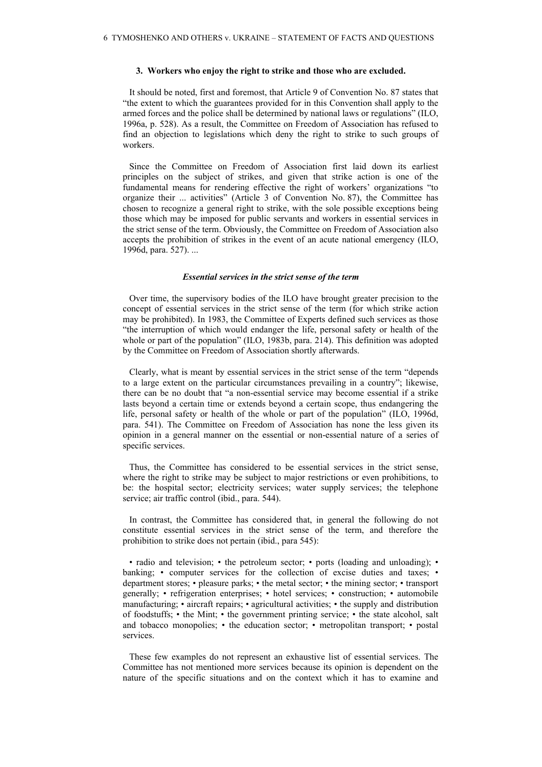#### **3. Workers who enjoy the right to strike and those who are excluded.**

It should be noted, first and foremost, that Article 9 of Convention No. 87 states that "the extent to which the guarantees provided for in this Convention shall apply to the armed forces and the police shall be determined by national laws or regulations" (ILO, 1996a, p. 528). As a result, the Committee on Freedom of Association has refused to find an objection to legislations which deny the right to strike to such groups of workers.

Since the Committee on Freedom of Association first laid down its earliest principles on the subject of strikes, and given that strike action is one of the fundamental means for rendering effective the right of workers' organizations "to organize their ... activities" (Article 3 of Convention No. 87), the Committee has chosen to recognize a general right to strike, with the sole possible exceptions being those which may be imposed for public servants and workers in essential services in the strict sense of the term. Obviously, the Committee on Freedom of Association also accepts the prohibition of strikes in the event of an acute national emergency (ILO, 1996d, para. 527). ...

#### *Essential services in the strict sense of the term*

Over time, the supervisory bodies of the ILO have brought greater precision to the concept of essential services in the strict sense of the term (for which strike action may be prohibited). In 1983, the Committee of Experts defined such services as those "the interruption of which would endanger the life, personal safety or health of the whole or part of the population" (ILO, 1983b, para. 214). This definition was adopted by the Committee on Freedom of Association shortly afterwards.

Clearly, what is meant by essential services in the strict sense of the term "depends to a large extent on the particular circumstances prevailing in a country"; likewise, there can be no doubt that "a non-essential service may become essential if a strike lasts beyond a certain time or extends beyond a certain scope, thus endangering the life, personal safety or health of the whole or part of the population" (ILO, 1996d, para. 541). The Committee on Freedom of Association has none the less given its opinion in a general manner on the essential or non-essential nature of a series of specific services.

Thus, the Committee has considered to be essential services in the strict sense, where the right to strike may be subject to major restrictions or even prohibitions, to be: the hospital sector; electricity services; water supply services; the telephone service; air traffic control (ibid., para. 544).

In contrast, the Committee has considered that, in general the following do not constitute essential services in the strict sense of the term, and therefore the prohibition to strike does not pertain (ibid., para 545):

• radio and television; • the petroleum sector; • ports (loading and unloading); • banking; • computer services for the collection of excise duties and taxes; • department stores; • pleasure parks; • the metal sector; • the mining sector; • transport generally; • refrigeration enterprises; • hotel services; • construction; • automobile manufacturing; • aircraft repairs; • agricultural activities; • the supply and distribution of foodstuffs; • the Mint; • the government printing service; • the state alcohol, salt and tobacco monopolies; • the education sector; • metropolitan transport; • postal services.

These few examples do not represent an exhaustive list of essential services. The Committee has not mentioned more services because its opinion is dependent on the nature of the specific situations and on the context which it has to examine and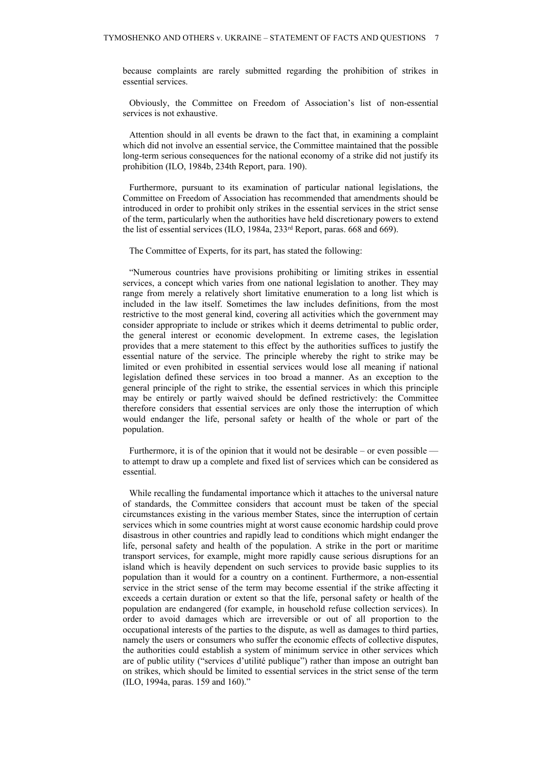because complaints are rarely submitted regarding the prohibition of strikes in essential services.

Obviously, the Committee on Freedom of Association's list of non-essential services is not exhaustive.

Attention should in all events be drawn to the fact that, in examining a complaint which did not involve an essential service, the Committee maintained that the possible long-term serious consequences for the national economy of a strike did not justify its prohibition (ILO, 1984b, 234th Report, para. 190).

Furthermore, pursuant to its examination of particular national legislations, the Committee on Freedom of Association has recommended that amendments should be introduced in order to prohibit only strikes in the essential services in the strict sense of the term, particularly when the authorities have held discretionary powers to extend the list of essential services (ILO, 1984a, 233<sup>rd</sup> Report, paras. 668 and 669).

The Committee of Experts, for its part, has stated the following:

"Numerous countries have provisions prohibiting or limiting strikes in essential services, a concept which varies from one national legislation to another. They may range from merely a relatively short limitative enumeration to a long list which is included in the law itself. Sometimes the law includes definitions, from the most restrictive to the most general kind, covering all activities which the government may consider appropriate to include or strikes which it deems detrimental to public order, the general interest or economic development. In extreme cases, the legislation provides that a mere statement to this effect by the authorities suffices to justify the essential nature of the service. The principle whereby the right to strike may be limited or even prohibited in essential services would lose all meaning if national legislation defined these services in too broad a manner. As an exception to the general principle of the right to strike, the essential services in which this principle may be entirely or partly waived should be defined restrictively: the Committee therefore considers that essential services are only those the interruption of which would endanger the life, personal safety or health of the whole or part of the population.

Furthermore, it is of the opinion that it would not be desirable – or even possible to attempt to draw up a complete and fixed list of services which can be considered as essential.

While recalling the fundamental importance which it attaches to the universal nature of standards, the Committee considers that account must be taken of the special circumstances existing in the various member States, since the interruption of certain services which in some countries might at worst cause economic hardship could prove disastrous in other countries and rapidly lead to conditions which might endanger the life, personal safety and health of the population. A strike in the port or maritime transport services, for example, might more rapidly cause serious disruptions for an island which is heavily dependent on such services to provide basic supplies to its population than it would for a country on a continent. Furthermore, a non-essential service in the strict sense of the term may become essential if the strike affecting it exceeds a certain duration or extent so that the life, personal safety or health of the population are endangered (for example, in household refuse collection services). In order to avoid damages which are irreversible or out of all proportion to the occupational interests of the parties to the dispute, as well as damages to third parties, namely the users or consumers who suffer the economic effects of collective disputes, the authorities could establish a system of minimum service in other services which are of public utility ("services d'utilité publique") rather than impose an outright ban on strikes, which should be limited to essential services in the strict sense of the term (ILO, 1994a, paras. 159 and 160)."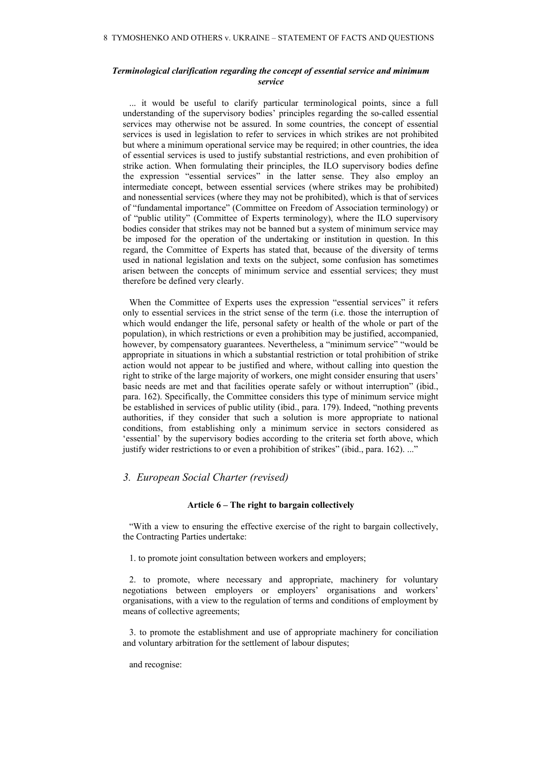#### *Terminological clarification regarding the concept of essential service and minimum service*

... it would be useful to clarify particular terminological points, since a full understanding of the supervisory bodies' principles regarding the so-called essential services may otherwise not be assured. In some countries, the concept of essential services is used in legislation to refer to services in which strikes are not prohibited but where a minimum operational service may be required; in other countries, the idea of essential services is used to justify substantial restrictions, and even prohibition of strike action. When formulating their principles, the ILO supervisory bodies define the expression "essential services" in the latter sense. They also employ an intermediate concept, between essential services (where strikes may be prohibited) and nonessential services (where they may not be prohibited), which is that of services of "fundamental importance" (Committee on Freedom of Association terminology) or of "public utility" (Committee of Experts terminology), where the ILO supervisory bodies consider that strikes may not be banned but a system of minimum service may be imposed for the operation of the undertaking or institution in question. In this regard, the Committee of Experts has stated that, because of the diversity of terms used in national legislation and texts on the subject, some confusion has sometimes arisen between the concepts of minimum service and essential services; they must therefore be defined very clearly.

When the Committee of Experts uses the expression "essential services" it refers only to essential services in the strict sense of the term (i.e. those the interruption of which would endanger the life, personal safety or health of the whole or part of the population), in which restrictions or even a prohibition may be justified, accompanied, however, by compensatory guarantees. Nevertheless, a "minimum service" "would be appropriate in situations in which a substantial restriction or total prohibition of strike action would not appear to be justified and where, without calling into question the right to strike of the large majority of workers, one might consider ensuring that users' basic needs are met and that facilities operate safely or without interruption" (ibid., para. 162). Specifically, the Committee considers this type of minimum service might be established in services of public utility (ibid., para. 179). Indeed, "nothing prevents authorities, if they consider that such a solution is more appropriate to national conditions, from establishing only a minimum service in sectors considered as 'essential' by the supervisory bodies according to the criteria set forth above, which justify wider restrictions to or even a prohibition of strikes" (ibid., para. 162). ...'

## *3. European Social Charter (revised)*

#### **Article 6 – The right to bargain collectively**

"With a view to ensuring the effective exercise of the right to bargain collectively, the Contracting Parties undertake:

1. to promote joint consultation between workers and employers;

2. to promote, where necessary and appropriate, machinery for voluntary negotiations between employers or employers' organisations and workers' organisations, with a view to the regulation of terms and conditions of employment by means of collective agreements;

3. to promote the establishment and use of appropriate machinery for conciliation and voluntary arbitration for the settlement of labour disputes;

and recognise: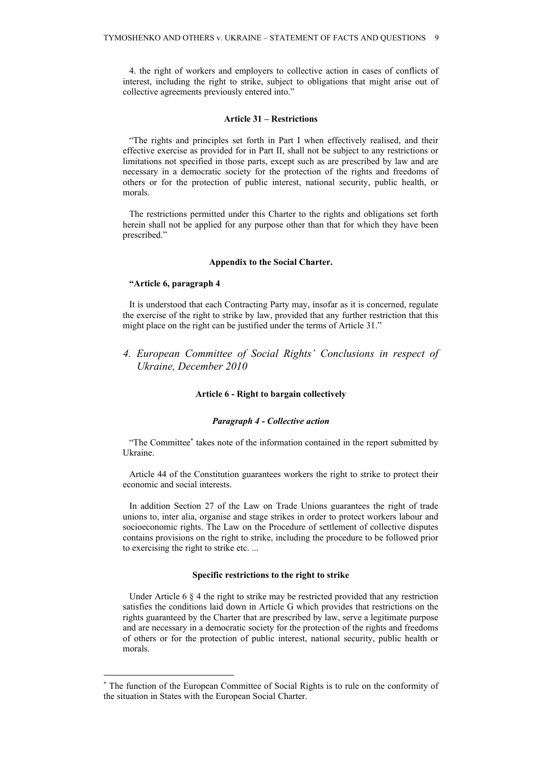4. the right of workers and employers to collective action in cases of conflicts of interest, including the right to strike, subject to obligations that might arise out of collective agreements previously entered into."

#### **Article 31 – Restrictions**

"The rights and principles set forth in Part I when effectively realised, and their effective exercise as provided for in Part II, shall not be subject to any restrictions or limitations not specified in those parts, except such as are prescribed by law and are necessary in a democratic society for the protection of the rights and freedoms of others or for the protection of public interest, national security, public health, or morals.

The restrictions permitted under this Charter to the rights and obligations set forth herein shall not be applied for any purpose other than that for which they have been prescribed."

#### **Appendix to the Social Charter.**

#### **"Article 6, paragraph 4**

It is understood that each Contracting Party may, insofar as it is concerned, regulate the exercise of the right to strike by law, provided that any further restriction that this might place on the right can be justified under the terms of Article 31."

*4. European Committee of Social Rights' Conclusions in respect of Ukraine, December 2010*

#### **Article 6 - Right to bargain collectively**

#### *Paragraph 4 - Collective action*

"The Committee\* takes note of the information contained in the report submitted by Ukraine.

Article 44 of the Constitution guarantees workers the right to strike to protect their economic and social interests.

In addition Section 27 of the Law on Trade Unions guarantees the right of trade unions to, inter alia, organise and stage strikes in order to protect workers labour and socioeconomic rights. The Law on the Procedure of settlement of collective disputes contains provisions on the right to strike, including the procedure to be followed prior to exercising the right to strike etc. ...

#### **Specific restrictions to the right to strike**

Under Article 6 § 4 the right to strike may be restricted provided that any restriction satisfies the conditions laid down in Article G which provides that restrictions on the rights guaranteed by the Charter that are prescribed by law, serve a legitimate purpose and are necessary in a democratic society for the protection of the rights and freedoms of others or for the protection of public interest, national security, public health or morals.

<sup>\*</sup> The function of the European Committee of Social Rights is to rule on the conformity of the situation in States with the European Social Charter.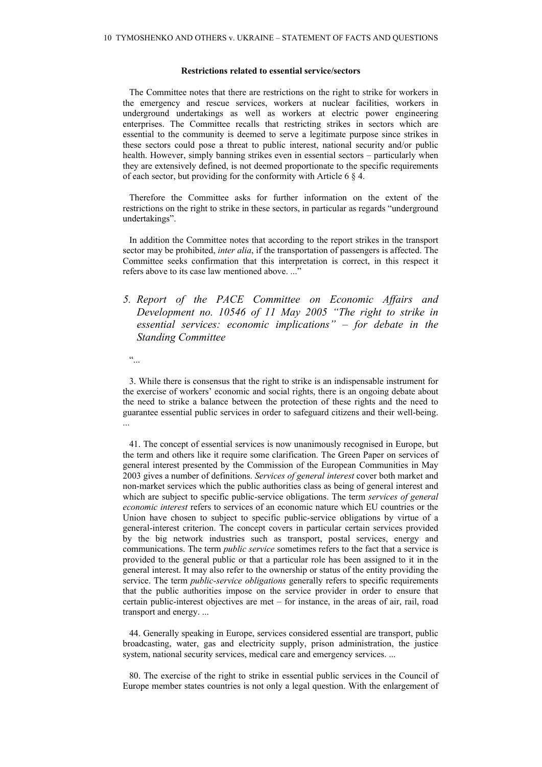#### **Restrictions related to essential service/sectors**

The Committee notes that there are restrictions on the right to strike for workers in the emergency and rescue services, workers at nuclear facilities, workers in underground undertakings as well as workers at electric power engineering enterprises. The Committee recalls that restricting strikes in sectors which are essential to the community is deemed to serve a legitimate purpose since strikes in these sectors could pose a threat to public interest, national security and/or public health. However, simply banning strikes even in essential sectors – particularly when they are extensively defined, is not deemed proportionate to the specific requirements of each sector, but providing for the conformity with Article 6 § 4.

Therefore the Committee asks for further information on the extent of the restrictions on the right to strike in these sectors, in particular as regards "underground undertakings".

In addition the Committee notes that according to the report strikes in the transport sector may be prohibited, *inter alia*, if the transportation of passengers is affected. The Committee seeks confirmation that this interpretation is correct, in this respect it refers above to its case law mentioned above. ..."

# *5. Report of the PACE Committee on Economic Affairs and Development no. 10546 of 11 May 2005 "The right to strike in essential services: economic implications" – for debate in the Standing Committee*

 $\ddot{\cdot}$ 

3. While there is consensus that the right to strike is an indispensable instrument for the exercise of workers' economic and social rights, there is an ongoing debate about the need to strike a balance between the protection of these rights and the need to guarantee essential public services in order to safeguard citizens and their well-being. ...

41. The concept of essential services is now unanimously recognised in Europe, but the term and others like it require some clarification. The Green Paper on services of general interest presented by the Commission of the European Communities in May 2003 gives a number of definitions. *Services of general interest* cover both market and non-market services which the public authorities class as being of general interest and which are subject to specific public-service obligations. The term *services of general economic interest* refers to services of an economic nature which EU countries or the Union have chosen to subject to specific public-service obligations by virtue of a general-interest criterion. The concept covers in particular certain services provided by the big network industries such as transport, postal services, energy and communications. The term *public service* sometimes refers to the fact that a service is provided to the general public or that a particular role has been assigned to it in the general interest. It may also refer to the ownership or status of the entity providing the service. The term *public-service obligations* generally refers to specific requirements that the public authorities impose on the service provider in order to ensure that certain public-interest objectives are met – for instance, in the areas of air, rail, road transport and energy. ...

44. Generally speaking in Europe, services considered essential are transport, public broadcasting, water, gas and electricity supply, prison administration, the justice system, national security services, medical care and emergency services. ...

80. The exercise of the right to strike in essential public services in the Council of Europe member states countries is not only a legal question. With the enlargement of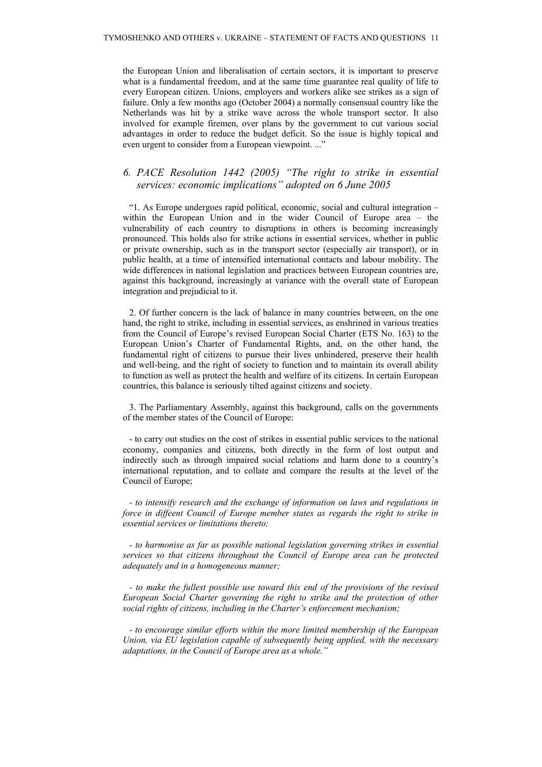the European Union and liberalisation of certain sectors, it is important to preserve what is a fundamental freedom, and at the same time guarantee real quality of life to every European citizen. Unions, employers and workers alike see strikes as a sign of failure. Only a few months ago (October 2004) a normally consensual country like the Netherlands was hit by a strike wave across the whole transport sector. It also involved for example firemen, over plans by the government to cut various social advantages in order to reduce the budget deficit. So the issue is highly topical and even urgent to consider from a European viewpoint. ..."

# *6. PACE Resolution 1442 (2005) "The right to strike in essential services: economic implications" adopted on 6 June 2005*

"1. As Europe undergoes rapid political, economic, social and cultural integration – within the European Union and in the wider Council of Europe area – the vulnerability of each country to disruptions in others is becoming increasingly pronounced. This holds also for strike actions in essential services, whether in public or private ownership, such as in the transport sector (especially air transport), or in public health, at a time of intensified international contacts and labour mobility. The wide differences in national legislation and practices between European countries are, against this background, increasingly at variance with the overall state of European integration and prejudicial to it.

2. Of further concern is the lack of balance in many countries between, on the one hand, the right to strike, including in essential services, as enshrined in various treaties from the Council of Europe's revised European Social Charter (ETS No. 163) to the European Union's Charter of Fundamental Rights, and, on the other hand, the fundamental right of citizens to pursue their lives unhindered, preserve their health and well-being, and the right of society to function and to maintain its overall ability to function as well as protect the health and welfare of its citizens. In certain European countries, this balance is seriously tilted against citizens and society.

3. The Parliamentary Assembly, against this background, calls on the governments of the member states of the Council of Europe:

- to carry out studies on the cost of strikes in essential public services to the national economy, companies and citizens, both directly in the form of lost output and indirectly such as through impaired social relations and harm done to a country's international reputation, and to collate and compare the results at the level of the Council of Europe;

*- to intensify research and the exchange of information on laws and regulations in force in diffeent Council of Europe member states as regards the right to strike in essential services or limitations thereto;*

*- to harmonise as far as possible national legislation governing strikes in essential services so that citizens throughout the Council of Europe area can be protected adequately and in a homogeneous manner;*

*- to make the fullest possible use toward this end of the provisions of the revised European Social Charter governing the right to strike and the protection of other social rights of citizens, including in the Charter's enforcement mechanism;*

*- to encourage similar efforts within the more limited membership of the European Union, via EU legislation capable of subsequently being applied, with the necessary adaptations, in the Council of Europe area as a whole."*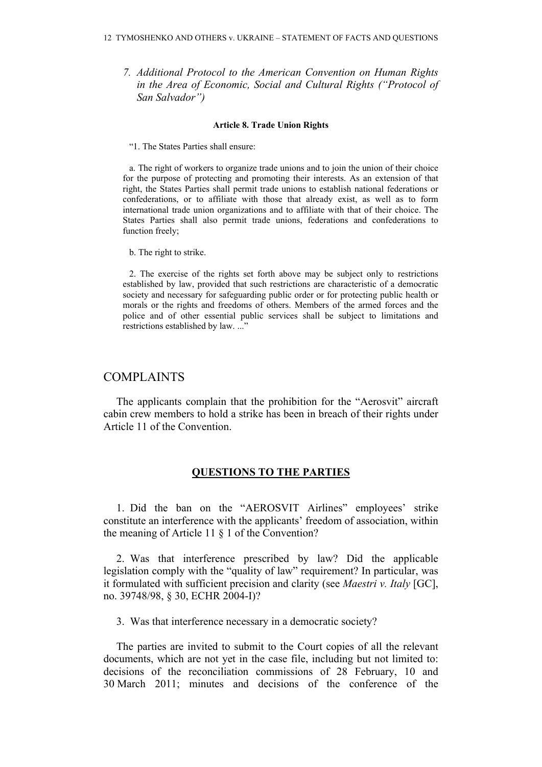*7. Additional Protocol to the American Convention on Human Rights in the Area of Economic, Social and Cultural Rights ("Protocol of San Salvador")*

#### **Article 8. Trade Union Rights**

"1. The States Parties shall ensure:

a. The right of workers to organize trade unions and to join the union of their choice for the purpose of protecting and promoting their interests. As an extension of that right, the States Parties shall permit trade unions to establish national federations or confederations, or to affiliate with those that already exist, as well as to form international trade union organizations and to affiliate with that of their choice. The States Parties shall also permit trade unions, federations and confederations to function freely;

b. The right to strike.

2. The exercise of the rights set forth above may be subject only to restrictions established by law, provided that such restrictions are characteristic of a democratic society and necessary for safeguarding public order or for protecting public health or morals or the rights and freedoms of others. Members of the armed forces and the police and of other essential public services shall be subject to limitations and restrictions established by law. ..."

# COMPLAINTS

The applicants complain that the prohibition for the "Aerosvit" aircraft cabin crew members to hold a strike has been in breach of their rights under Article 11 of the Convention.

# **QUESTIONS TO THE PARTIES**

1. Did the ban on the "AEROSVIT Airlines" employees' strike constitute an interference with the applicants' freedom of association, within the meaning of Article 11 § 1 of the Convention?

2. Was that interference prescribed by law? Did the applicable legislation comply with the "quality of law" requirement? In particular, was it formulated with sufficient precision and clarity (see *Maestri v. Italy* [GC], no. 39748/98, § 30, ECHR 2004-I)?

3. Was that interference necessary in a democratic society?

The parties are invited to submit to the Court copies of all the relevant documents, which are not yet in the case file, including but not limited to: decisions of the reconciliation commissions of 28 February, 10 and 30 March 2011; minutes and decisions of the conference of the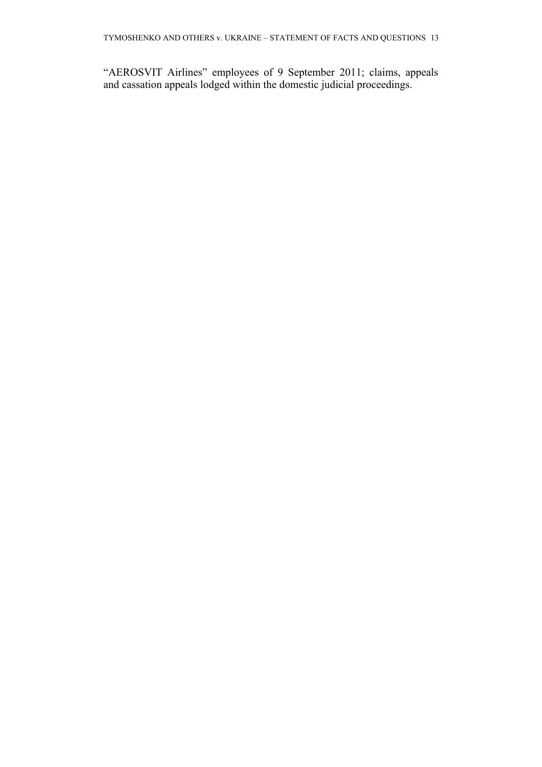"AEROSVIT Airlines" employees of 9 September 2011; claims, appeals and cassation appeals lodged within the domestic judicial proceedings.